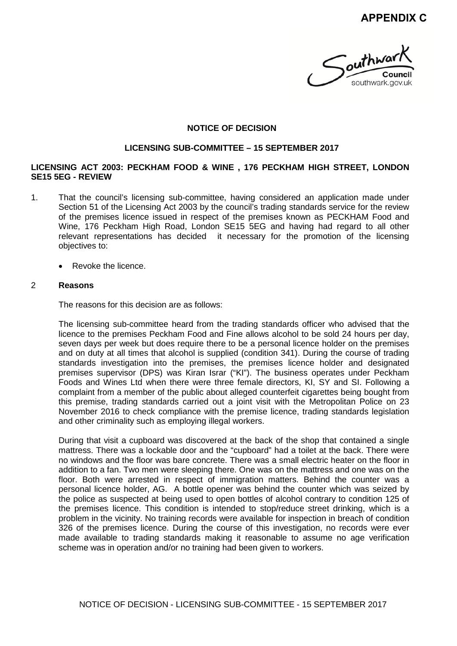Southwar southwark.gov.uk

#### **NOTICE OF DECISION**

#### **LICENSING SUB-COMMITTEE – 15 SEPTEMBER 2017**

#### **LICENSING ACT 2003: PECKHAM FOOD & WINE , 176 PECKHAM HIGH STREET, LONDON SE15 5EG - REVIEW**

- 1. That the council's licensing sub-committee, having considered an application made under Section 51 of the Licensing Act 2003 by the council's trading standards service for the review of the premises licence issued in respect of the premises known as PECKHAM Food and Wine, 176 Peckham High Road, London SE15 5EG and having had regard to all other relevant representations has decided it necessary for the promotion of the licensing objectives to:
	- Revoke the licence.

#### 2 **Reasons**

The reasons for this decision are as follows:

The licensing sub-committee heard from the trading standards officer who advised that the licence to the premises Peckham Food and Fine allows alcohol to be sold 24 hours per day, seven days per week but does require there to be a personal licence holder on the premises and on duty at all times that alcohol is supplied (condition 341). During the course of trading standards investigation into the premises, the premises licence holder and designated premises supervisor (DPS) was Kiran Israr ("KI"). The business operates under Peckham Foods and Wines Ltd when there were three female directors, KI, SY and SI. Following a complaint from a member of the public about alleged counterfeit cigarettes being bought from this premise, trading standards carried out a joint visit with the Metropolitan Police on 23 November 2016 to check compliance with the premise licence, trading standards legislation and other criminality such as employing illegal workers.

During that visit a cupboard was discovered at the back of the shop that contained a single mattress. There was a lockable door and the "cupboard" had a toilet at the back. There were no windows and the floor was bare concrete. There was a small electric heater on the floor in addition to a fan. Two men were sleeping there. One was on the mattress and one was on the floor. Both were arrested in respect of immigration matters. Behind the counter was a personal licence holder, AG. A bottle opener was behind the counter which was seized by the police as suspected at being used to open bottles of alcohol contrary to condition 125 of the premises licence. This condition is intended to stop/reduce street drinking, which is a problem in the vicinity. No training records were available for inspection in breach of condition 326 of the premises licence. During the course of this investigation, no records were ever made available to trading standards making it reasonable to assume no age verification scheme was in operation and/or no training had been given to workers.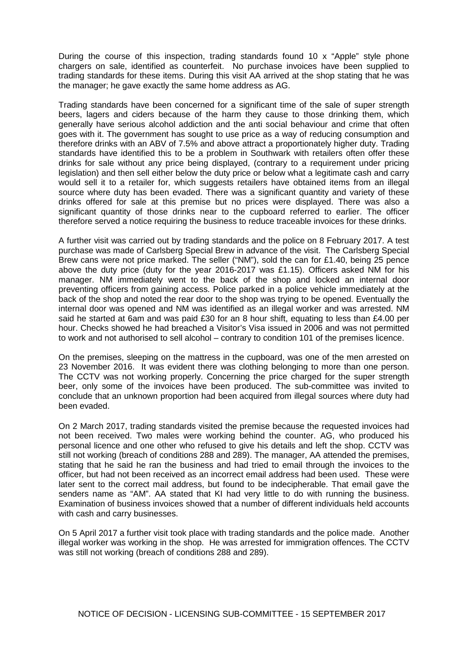During the course of this inspection, trading standards found 10 x "Apple" style phone chargers on sale, identified as counterfeit. No purchase invoices have been supplied to trading standards for these items. During this visit AA arrived at the shop stating that he was the manager; he gave exactly the same home address as AG.

Trading standards have been concerned for a significant time of the sale of super strength beers, lagers and ciders because of the harm they cause to those drinking them, which generally have serious alcohol addiction and the anti social behaviour and crime that often goes with it. The government has sought to use price as a way of reducing consumption and therefore drinks with an ABV of 7.5% and above attract a proportionately higher duty. Trading standards have identified this to be a problem in Southwark with retailers often offer these drinks for sale without any price being displayed, (contrary to a requirement under pricing legislation) and then sell either below the duty price or below what a legitimate cash and carry would sell it to a retailer for, which suggests retailers have obtained items from an illegal source where duty has been evaded. There was a significant quantity and variety of these drinks offered for sale at this premise but no prices were displayed. There was also a significant quantity of those drinks near to the cupboard referred to earlier. The officer therefore served a notice requiring the business to reduce traceable invoices for these drinks.

A further visit was carried out by trading standards and the police on 8 February 2017. A test purchase was made of Carlsberg Special Brew in advance of the visit. The Carlsberg Special Brew cans were not price marked. The seller ("NM"), sold the can for £1.40, being 25 pence above the duty price (duty for the year 2016-2017 was £1.15). Officers asked NM for his manager. NM immediately went to the back of the shop and locked an internal door preventing officers from gaining access. Police parked in a police vehicle immediately at the back of the shop and noted the rear door to the shop was trying to be opened. Eventually the internal door was opened and NM was identified as an illegal worker and was arrested. NM said he started at 6am and was paid £30 for an 8 hour shift, equating to less than £4.00 per hour. Checks showed he had breached a Visitor's Visa issued in 2006 and was not permitted to work and not authorised to sell alcohol – contrary to condition 101 of the premises licence.

On the premises, sleeping on the mattress in the cupboard, was one of the men arrested on 23 November 2016. It was evident there was clothing belonging to more than one person. The CCTV was not working properly. Concerning the price charged for the super strength beer, only some of the invoices have been produced. The sub-committee was invited to conclude that an unknown proportion had been acquired from illegal sources where duty had been evaded.

On 2 March 2017, trading standards visited the premise because the requested invoices had not been received. Two males were working behind the counter. AG, who produced his personal licence and one other who refused to give his details and left the shop. CCTV was still not working (breach of conditions 288 and 289). The manager, AA attended the premises, stating that he said he ran the business and had tried to email through the invoices to the officer, but had not been received as an incorrect email address had been used. These were later sent to the correct mail address, but found to be indecipherable. That email gave the senders name as "AM". AA stated that KI had very little to do with running the business. Examination of business invoices showed that a number of different individuals held accounts with cash and carry businesses.

On 5 April 2017 a further visit took place with trading standards and the police made. Another illegal worker was working in the shop. He was arrested for immigration offences. The CCTV was still not working (breach of conditions 288 and 289).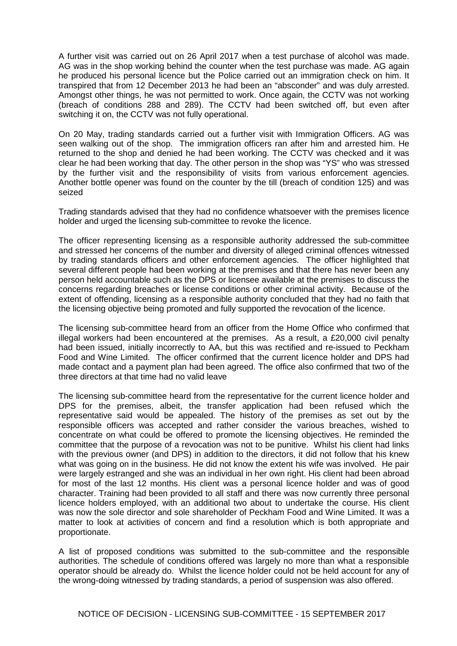A further visit was carried out on 26 April 2017 when a test purchase of alcohol was made. AG was in the shop working behind the counter when the test purchase was made. AG again he produced his personal licence but the Police carried out an immigration check on him. It transpired that from 12 December 2013 he had been an "absconder" and was duly arrested. Amongst other things, he was not permitted to work. Once again, the CCTV was not working (breach of conditions 288 and 289). The CCTV had been switched off, but even after switching it on, the CCTV was not fully operational.

On 20 May, trading standards carried out a further visit with Immigration Officers. AG was seen walking out of the shop. The immigration officers ran after him and arrested him. He returned to the shop and denied he had been working. The CCTV was checked and it was clear he had been working that day. The other person in the shop was "YS" who was stressed by the further visit and the responsibility of visits from various enforcement agencies. Another bottle opener was found on the counter by the till (breach of condition 125) and was seized

Trading standards advised that they had no confidence whatsoever with the premises licence holder and urged the licensing sub-committee to revoke the licence.

The officer representing licensing as a responsible authority addressed the sub-committee and stressed her concerns of the number and diversity of alleged criminal offences witnessed by trading standards officers and other enforcement agencies. The officer highlighted that several different people had been working at the premises and that there has never been any person held accountable such as the DPS or licensee available at the premises to discuss the concerns regarding breaches or license conditions or other criminal activity. Because of the extent of offending, licensing as a responsible authority concluded that they had no faith that the licensing objective being promoted and fully supported the revocation of the licence.

The licensing sub-committee heard from an officer from the Home Office who confirmed that illegal workers had been encountered at the premises. As a result, a £20,000 civil penalty had been issued, initially incorrectly to AA, but this was rectified and re-issued to Peckham Food and Wine Limited. The officer confirmed that the current licence holder and DPS had made contact and a payment plan had been agreed. The office also confirmed that two of the three directors at that time had no valid leave

The licensing sub-committee heard from the representative for the current licence holder and DPS for the premises, albeit, the transfer application had been refused which the representative said would be appealed. The history of the premises as set out by the responsible officers was accepted and rather consider the various breaches, wished to concentrate on what could be offered to promote the licensing objectives. He reminded the committee that the purpose of a revocation was not to be punitive. Whilst his client had links with the previous owner (and DPS) in addition to the directors, it did not follow that his knew what was going on in the business. He did not know the extent his wife was involved. He pair were largely estranged and she was an individual in her own right. His client had been abroad for most of the last 12 months. His client was a personal licence holder and was of good character. Training had been provided to all staff and there was now currently three personal licence holders employed, with an additional two about to undertake the course. His client was now the sole director and sole shareholder of Peckham Food and Wine Limited. It was a matter to look at activities of concern and find a resolution which is both appropriate and proportionate.

A list of proposed conditions was submitted to the sub-committee and the responsible authorities. The schedule of conditions offered was largely no more than what a responsible operator should be already do. Whilst the licence holder could not be held account for any of the wrong-doing witnessed by trading standards, a period of suspension was also offered.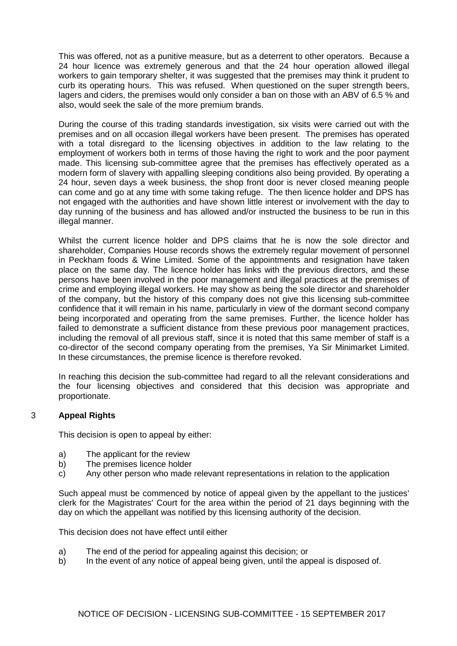This was offered, not as a punitive measure, but as a deterrent to other operators. Because a 24 hour licence was extremely generous and that the 24 hour operation allowed illegal workers to gain temporary shelter, it was suggested that the premises may think it prudent to curb its operating hours. This was refused. When questioned on the super strength beers, lagers and ciders, the premises would only consider a ban on those with an ABV of 6.5 % and also, would seek the sale of the more premium brands.

During the course of this trading standards investigation, six visits were carried out with the premises and on all occasion illegal workers have been present. The premises has operated with a total disregard to the licensing objectives in addition to the law relating to the employment of workers both in terms of those having the right to work and the poor payment made. This licensing sub-committee agree that the premises has effectively operated as a modern form of slavery with appalling sleeping conditions also being provided. By operating a 24 hour, seven days a week business, the shop front door is never closed meaning people can come and go at any time with some taking refuge. The then licence holder and DPS has not engaged with the authorities and have shown little interest or involvement with the day to day running of the business and has allowed and/or instructed the business to be run in this illegal manner.

Whilst the current licence holder and DPS claims that he is now the sole director and shareholder, Companies House records shows the extremely regular movement of personnel in Peckham foods & Wine Limited. Some of the appointments and resignation have taken place on the same day. The licence holder has links with the previous directors, and these persons have been involved in the poor management and illegal practices at the premises of crime and employing illegal workers. He may show as being the sole director and shareholder of the company, but the history of this company does not give this licensing sub-committee confidence that it will remain in his name, particularly in view of the dormant second company being incorporated and operating from the same premises. Further, the licence holder has failed to demonstrate a sufficient distance from these previous poor management practices, including the removal of all previous staff, since it is noted that this same member of staff is a co-director of the second company operating from the premises, Ya Sir Minimarket Limited. In these circumstances, the premise licence is therefore revoked.

In reaching this decision the sub-committee had regard to all the relevant considerations and the four licensing objectives and considered that this decision was appropriate and proportionate.

### 3 **Appeal Rights**

This decision is open to appeal by either:

- a) The applicant for the review
- b) The premises licence holder
- c) Any other person who made relevant representations in relation to the application

Such appeal must be commenced by notice of appeal given by the appellant to the justices' clerk for the Magistrates' Court for the area within the period of 21 days beginning with the day on which the appellant was notified by this licensing authority of the decision.

This decision does not have effect until either

- a) The end of the period for appealing against this decision; or
- b) In the event of any notice of appeal being given, until the appeal is disposed of.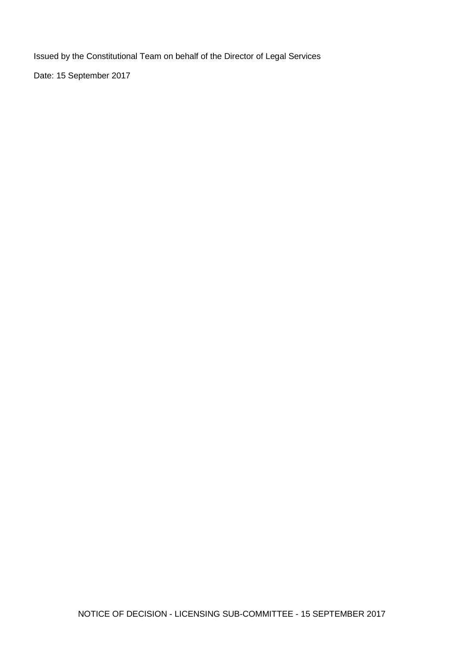Issued by the Constitutional Team on behalf of the Director of Legal Services

Date: 15 September 2017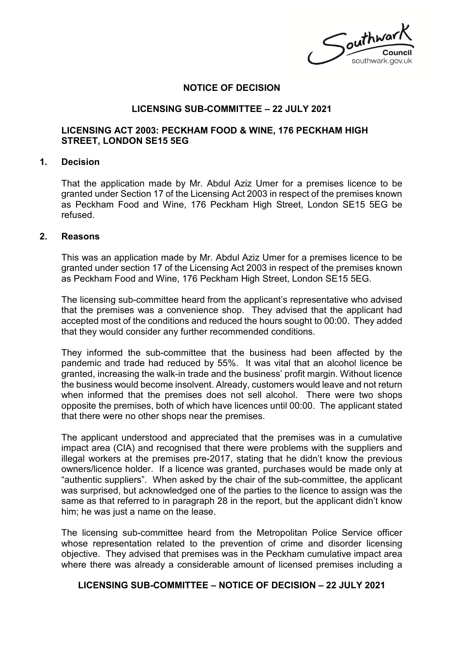Southway southwark.gov.uk

### **NOTICE OF DECISION**

## **LICENSING SUB-COMMITTEE – 22 JULY 2021**

## **LICENSING ACT 2003: PECKHAM FOOD & WINE, 176 PECKHAM HIGH STREET, LONDON SE15 5EG**

### **1. Decision**

That the application made by Mr. Abdul Aziz Umer for a premises licence to be granted under Section 17 of the Licensing Act 2003 in respect of the premises known as Peckham Food and Wine, 176 Peckham High Street, London SE15 5EG be refused.

### **2. Reasons**

This was an application made by Mr. Abdul Aziz Umer for a premises licence to be granted under section 17 of the Licensing Act 2003 in respect of the premises known as Peckham Food and Wine, 176 Peckham High Street, London SE15 5EG.

The licensing sub-committee heard from the applicant's representative who advised that the premises was a convenience shop. They advised that the applicant had accepted most of the conditions and reduced the hours sought to 00:00. They added that they would consider any further recommended conditions.

They informed the sub-committee that the business had been affected by the pandemic and trade had reduced by 55%. It was vital that an alcohol licence be granted, increasing the walk-in trade and the business' profit margin. Without licence the business would become insolvent. Already, customers would leave and not return when informed that the premises does not sell alcohol. There were two shops opposite the premises, both of which have licences until 00:00. The applicant stated that there were no other shops near the premises.

The applicant understood and appreciated that the premises was in a cumulative impact area (CIA) and recognised that there were problems with the suppliers and illegal workers at the premises pre-2017, stating that he didn't know the previous owners/licence holder. If a licence was granted, purchases would be made only at "authentic suppliers". When asked by the chair of the sub-committee, the applicant was surprised, but acknowledged one of the parties to the licence to assign was the same as that referred to in paragraph 28 in the report, but the applicant didn't know him; he was just a name on the lease.

The licensing sub-committee heard from the Metropolitan Police Service officer whose representation related to the prevention of crime and disorder licensing objective. They advised that premises was in the Peckham cumulative impact area where there was already a considerable amount of licensed premises including a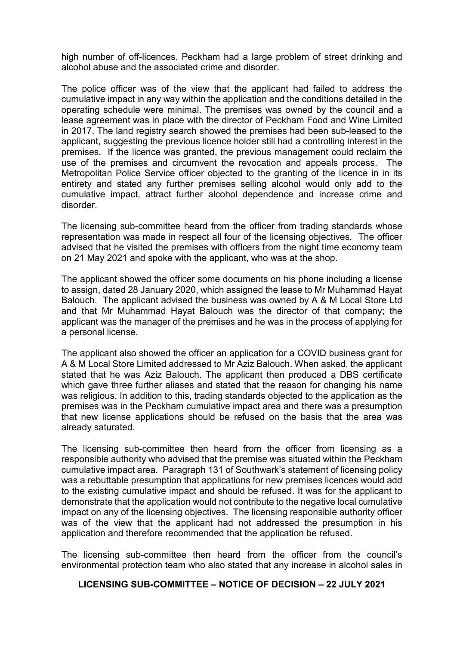high number of off-licences. Peckham had a large problem of street drinking and alcohol abuse and the associated crime and disorder.

The police officer was of the view that the applicant had failed to address the cumulative impact in any way within the application and the conditions detailed in the operating schedule were minimal. The premises was owned by the council and a lease agreement was in place with the director of Peckham Food and Wine Limited in 2017. The land registry search showed the premises had been sub-leased to the applicant, suggesting the previous licence holder still had a controlling interest in the premises. If the licence was granted, the previous management could reclaim the use of the premises and circumvent the revocation and appeals process. The Metropolitan Police Service officer objected to the granting of the licence in in its entirety and stated any further premises selling alcohol would only add to the cumulative impact, attract further alcohol dependence and increase crime and disorder.

The licensing sub-committee heard from the officer from trading standards whose representation was made in respect all four of the licensing objectives. The officer advised that he visited the premises with officers from the night time economy team on 21 May 2021 and spoke with the applicant, who was at the shop.

The applicant showed the officer some documents on his phone including a license to assign, dated 28 January 2020, which assigned the lease to Mr Muhammad Hayat Balouch. The applicant advised the business was owned by A & M Local Store Ltd and that Mr Muhammad Hayat Balouch was the director of that company; the applicant was the manager of the premises and he was in the process of applying for a personal license.

The applicant also showed the officer an application for a COVID business grant for A & M Local Store Limited addressed to Mr Aziz Balouch. When asked, the applicant stated that he was Aziz Balouch. The applicant then produced a DBS certificate which gave three further aliases and stated that the reason for changing his name was religious. In addition to this, trading standards objected to the application as the premises was in the Peckham cumulative impact area and there was a presumption that new license applications should be refused on the basis that the area was already saturated.

The licensing sub-committee then heard from the officer from licensing as a responsible authority who advised that the premise was situated within the Peckham cumulative impact area. Paragraph 131 of Southwark's statement of licensing policy was a rebuttable presumption that applications for new premises licences would add to the existing cumulative impact and should be refused. It was for the applicant to demonstrate that the application would not contribute to the negative local cumulative impact on any of the licensing objectives. The licensing responsible authority officer was of the view that the applicant had not addressed the presumption in his application and therefore recommended that the application be refused.

The licensing sub-committee then heard from the officer from the council's environmental protection team who also stated that any increase in alcohol sales in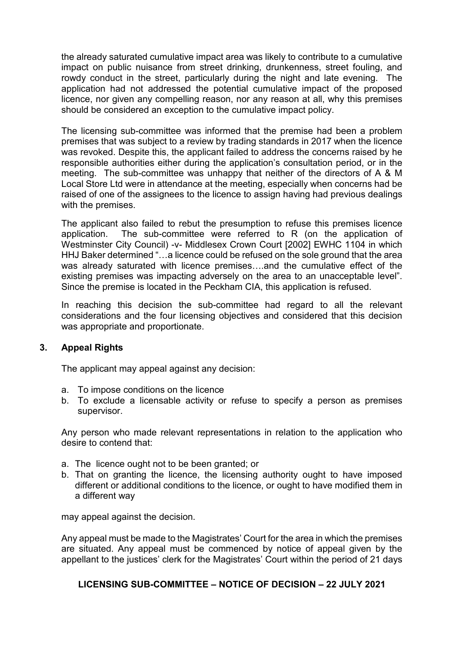the already saturated cumulative impact area was likely to contribute to a cumulative impact on public nuisance from street drinking, drunkenness, street fouling, and rowdy conduct in the street, particularly during the night and late evening. The application had not addressed the potential cumulative impact of the proposed licence, nor given any compelling reason, nor any reason at all, why this premises should be considered an exception to the cumulative impact policy.

The licensing sub-committee was informed that the premise had been a problem premises that was subject to a review by trading standards in 2017 when the licence was revoked. Despite this, the applicant failed to address the concerns raised by he responsible authorities either during the application's consultation period, or in the meeting. The sub-committee was unhappy that neither of the directors of A & M Local Store Ltd were in attendance at the meeting, especially when concerns had be raised of one of the assignees to the licence to assign having had previous dealings with the premises.

The applicant also failed to rebut the presumption to refuse this premises licence application. The sub-committee were referred to R (on the application of Westminster City Council) -v- Middlesex Crown Court [2002] EWHC 1104 in which HHJ Baker determined "…a licence could be refused on the sole ground that the area was already saturated with licence premises….and the cumulative effect of the existing premises was impacting adversely on the area to an unacceptable level". Since the premise is located in the Peckham CIA, this application is refused.

In reaching this decision the sub-committee had regard to all the relevant considerations and the four licensing objectives and considered that this decision was appropriate and proportionate.

### **3. Appeal Rights**

The applicant may appeal against any decision:

- a. To impose conditions on the licence
- b. To exclude a licensable activity or refuse to specify a person as premises supervisor.

Any person who made relevant representations in relation to the application who desire to contend that:

- a. The licence ought not to be been granted; or
- b. That on granting the licence, the licensing authority ought to have imposed different or additional conditions to the licence, or ought to have modified them in a different way

may appeal against the decision.

Any appeal must be made to the Magistrates' Court for the area in which the premises are situated. Any appeal must be commenced by notice of appeal given by the appellant to the justices' clerk for the Magistrates' Court within the period of 21 days